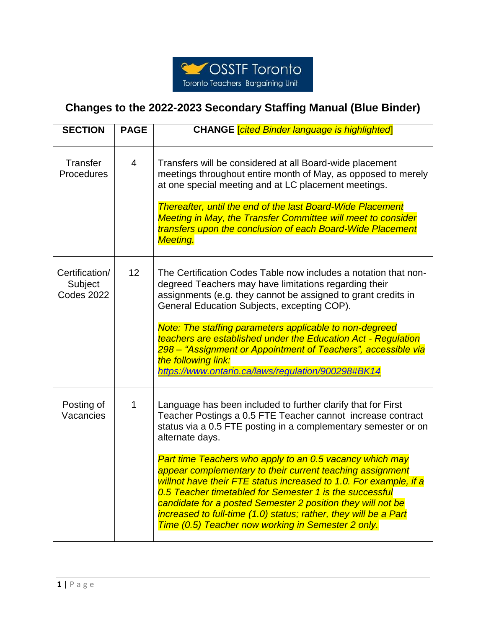

## **Changes to the 2022-2023 Secondary Staffing Manual (Blue Binder)**

| <b>SECTION</b>                                 | <b>PAGE</b>     | <b>CHANGE <i>cited Binder language is highlighted</i></b>                                                                                                                                                                                                                                                                                                                                                                                                                                                                                                                                                                                                          |
|------------------------------------------------|-----------------|--------------------------------------------------------------------------------------------------------------------------------------------------------------------------------------------------------------------------------------------------------------------------------------------------------------------------------------------------------------------------------------------------------------------------------------------------------------------------------------------------------------------------------------------------------------------------------------------------------------------------------------------------------------------|
| Transfer<br>Procedures                         | 4               | Transfers will be considered at all Board-wide placement<br>meetings throughout entire month of May, as opposed to merely<br>at one special meeting and at LC placement meetings.<br><b>Thereafter, until the end of the last Board-Wide Placement</b><br><b>Meeting in May, the Transfer Committee will meet to consider</b><br>transfers upon the conclusion of each Board-Wide Placement<br><b>Meeting.</b>                                                                                                                                                                                                                                                     |
| Certification/<br>Subject<br><b>Codes 2022</b> | 12 <sup>2</sup> | The Certification Codes Table now includes a notation that non-<br>degreed Teachers may have limitations regarding their<br>assignments (e.g. they cannot be assigned to grant credits in<br>General Education Subjects, excepting COP).<br>Note: The staffing parameters applicable to non-degreed<br>teachers are established under the Education Act - Regulation<br>298 – "Assignment or Appointment of Teachers", accessible via<br>the following link:<br>https://www.ontario.ca/laws/regulation/900298#BK14                                                                                                                                                 |
| Posting of<br>Vacancies                        | 1               | Language has been included to further clarify that for First<br>Teacher Postings a 0.5 FTE Teacher cannot increase contract<br>status via a 0.5 FTE posting in a complementary semester or on<br>alternate days.<br>Part time Teachers who apply to an 0.5 vacancy which may<br>appear complementary to their current teaching assignment<br>willnot have their FTE status increased to 1.0. For example, if a<br>0.5 Teacher timetabled for Semester 1 is the successful<br>candidate for a posted Semester 2 position they will not be<br>increased to full-time (1.0) status; rather, they will be a Part<br>Time (0.5) Teacher now working in Semester 2 only. |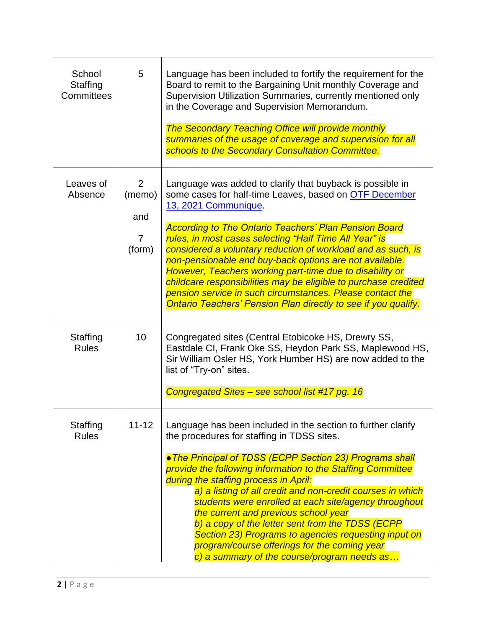| School<br>Staffing<br>Committees | 5                                                           | Language has been included to fortify the requirement for the<br>Board to remit to the Bargaining Unit monthly Coverage and<br>Supervision Utilization Summaries, currently mentioned only<br>in the Coverage and Supervision Memorandum.<br><b>The Secondary Teaching Office will provide monthly</b><br>summaries of the usage of coverage and supervision for all<br>schools to the Secondary Consultation Committee.                                                                                                                                                                                                                                              |
|----------------------------------|-------------------------------------------------------------|-----------------------------------------------------------------------------------------------------------------------------------------------------------------------------------------------------------------------------------------------------------------------------------------------------------------------------------------------------------------------------------------------------------------------------------------------------------------------------------------------------------------------------------------------------------------------------------------------------------------------------------------------------------------------|
| Leaves of<br>Absence             | $\overline{2}$<br>(memo)<br>and<br>$\overline{7}$<br>(form) | Language was added to clarify that buyback is possible in<br>some cases for half-time Leaves, based on OTF December<br>13, 2021 Communique.<br><b>According to The Ontario Teachers' Plan Pension Board</b><br>rules, in most cases selecting "Half Time All Year" is<br>considered a voluntary reduction of workload and as such, is<br>non-pensionable and buy-back options are not available.<br>However, Teachers working part-time due to disability or<br>childcare responsibilities may be eligible to purchase credited<br>pension service in such circumstances. Please contact the<br><b>Ontario Teachers' Pension Plan directly to see if you qualify.</b> |
| Staffing<br><b>Rules</b>         | 10                                                          | Congregated sites (Central Etobicoke HS, Drewry SS,<br>Eastdale CI, Frank Oke SS, Heydon Park SS, Maplewood HS,<br>Sir William Osler HS, York Humber HS) are now added to the<br>list of "Try-on" sites.<br>Congregated Sites - see school list #17 pg. 16                                                                                                                                                                                                                                                                                                                                                                                                            |
| Staffing<br><b>Rules</b>         | $11 - 12$                                                   | Language has been included in the section to further clarify<br>the procedures for staffing in TDSS sites.<br>.The Principal of TDSS (ECPP Section 23) Programs shall<br>provide the following information to the Staffing Committee<br>during the staffing process in April:<br>a) a listing of all credit and non-credit courses in which<br>students were enrolled at each site/agency throughout<br>the current and previous school year<br>b) a copy of the letter sent from the TDSS (ECPP<br>Section 23) Programs to agencies requesting input on<br>program/course offerings for the coming year<br>c) a summary of the course/program needs as               |